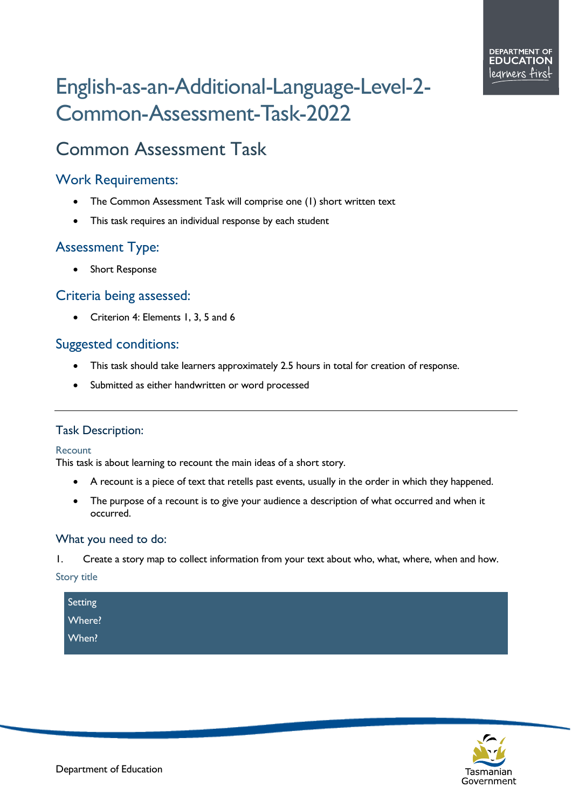# English-as-an-Additional-Language-Level-2- Common-Assessment-Task-2022

# Common Assessment Task

# Work Requirements:

- The Common Assessment Task will comprise one (1) short written text
- This task requires an individual response by each student

# Assessment Type:

• Short Response

## Criteria being assessed:

• Criterion 4: Elements 1, 3, 5 and 6

## Suggested conditions:

- This task should take learners approximately 2.5 hours in total for creation of response.
- Submitted as either handwritten or word processed

#### Task Description:

#### Recount

This task is about learning to recount the main ideas of a short story.

- A recount is a piece of text that retells past events, usually in the order in which they happened.
- The purpose of a recount is to give your audience a description of what occurred and when it occurred.

#### What you need to do:

1. Create a story map to collect information from your text about who, what, where, when and how.

Story title